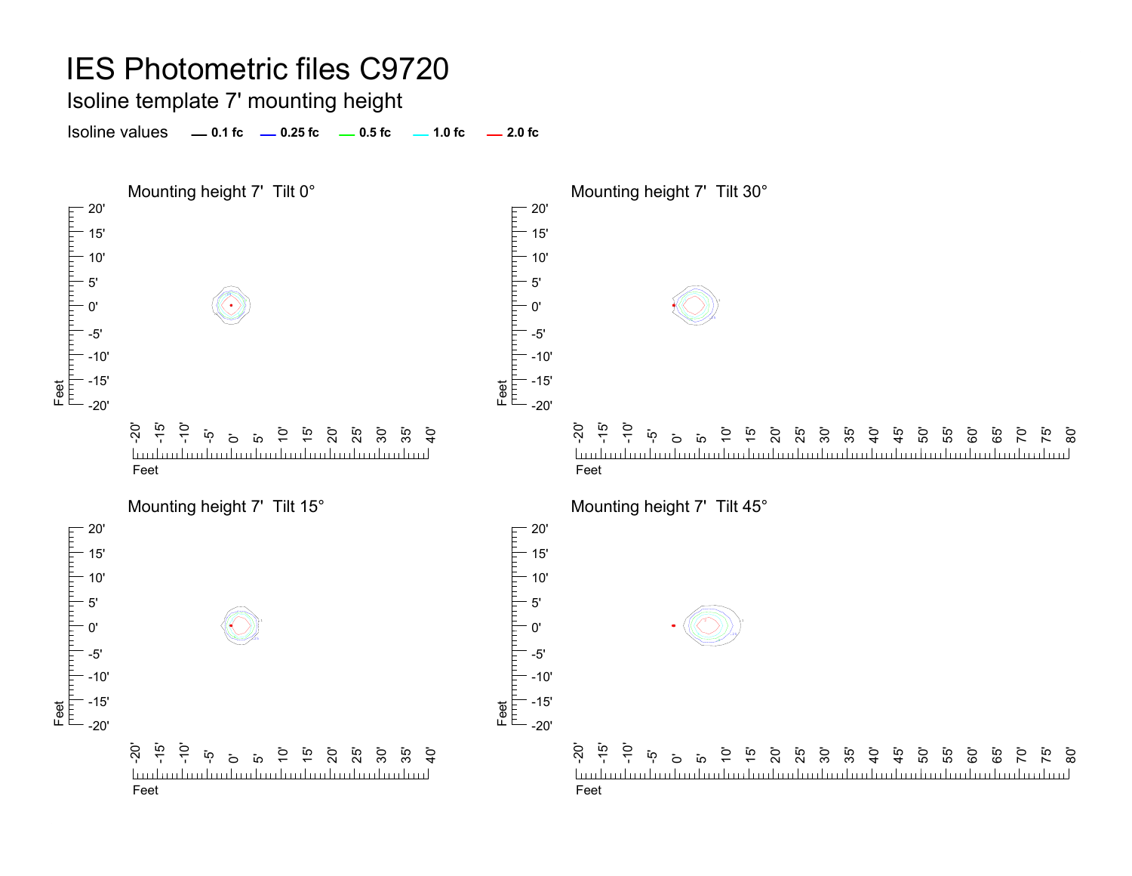Isoline template 7' mounting height

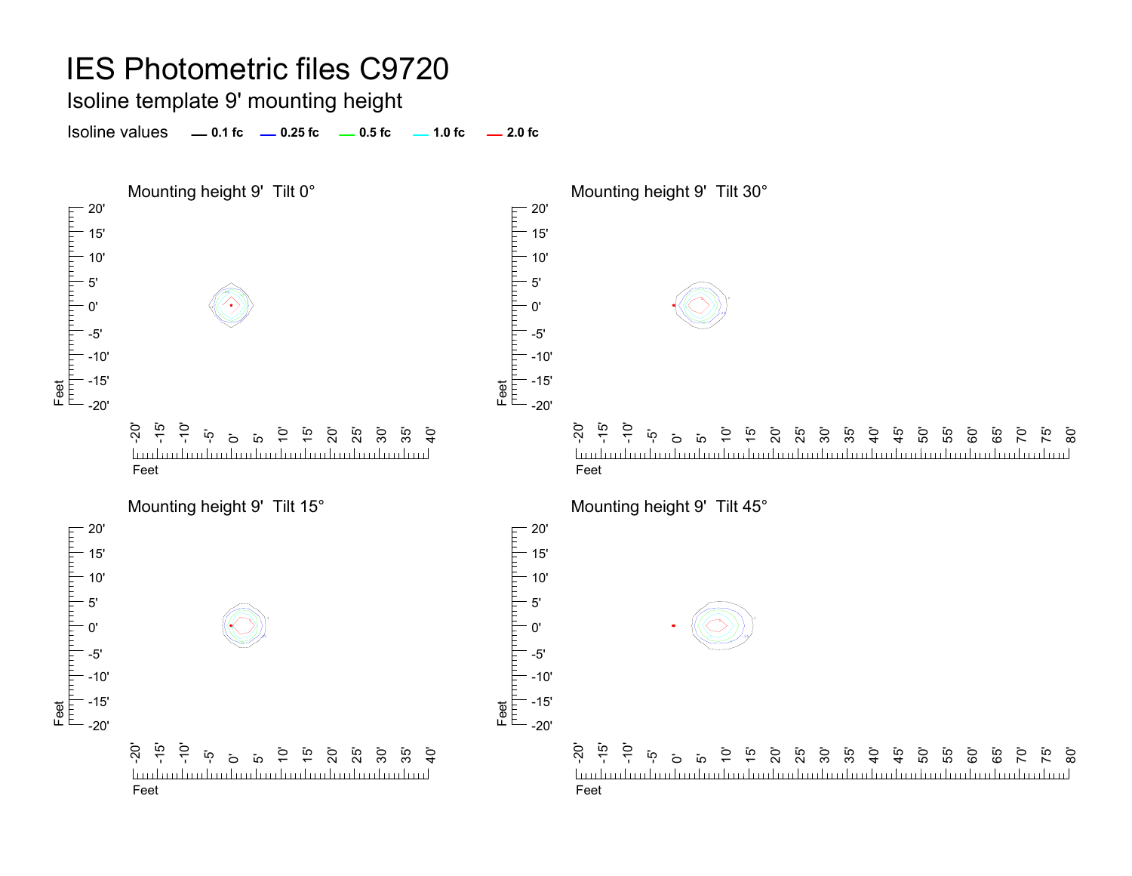Isoline template 9' mounting height

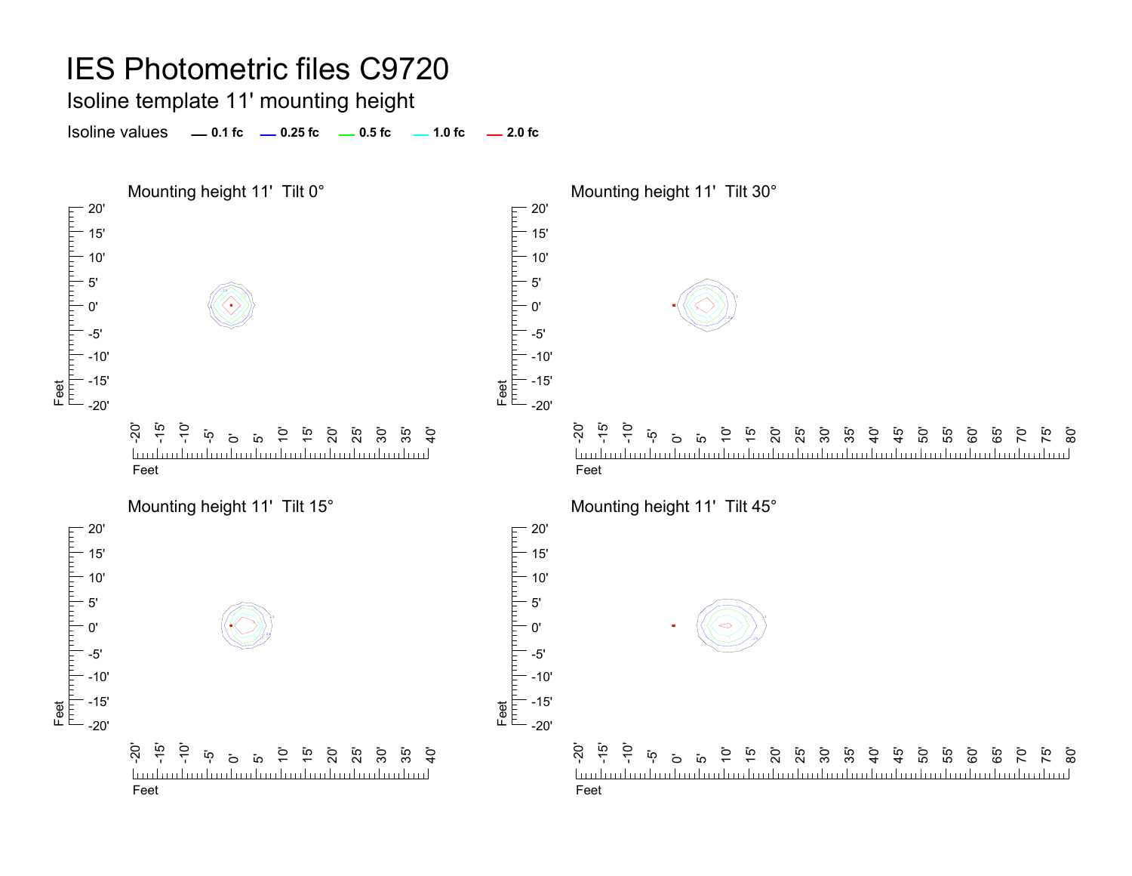#### IES Photometric files C9720 Isoline template 11' mounting height Isoline values **0.1 fc 0.25 fc 0.5 fc 2.0 fc 1.0 fc** Mounting height 11' Tilt 0° Mounting height 11' Tilt 30°  $-20'$ 20' 15' 15' 10' 10' 5' 5' .25.5.10'0' .1 $2.27$ Feet<br>|<sup>|||||</sup>||<sup>|||||||||</sup>| -5'-5' -10'-10' -15' -15' Feet -20'-20' $\overline{S}$ -15'  $\frac{1}{2}$ -20' - 5<br>-7 -10' 10' 15' 30' 10' 15' 35'  $\mathbf{\ddot{o}}$ 0<br>25<br>25 ີ 55<br>ີ  $\mathcal{G}$  $\mathbf{\ddot{o}}$  $\overline{a}$ 20' 25' 30'  $\frac{5}{4}$ ្នុ<br>+ 50' 55<br>55 <u>تہ</u> <u>ක</u>  $\overline{a}$  $\overline{1}$  $\overline{1}$ 60' 85 70' <u>landan barbarbarbarbarbarbarbarbarbar</u> milim kuuluuden kendemberikuuduuduuduuduuduu <u>landan barbarbar</u>l FeetFeetMounting height 11' Tilt 15° Mounting height 11' Tilt 45°  $-20$ 20' 15' 15' 10' 10' 5'5' 5 V V 0'0'  $\sim$  25 -5' -5' -10' -10' -15' -15' Feet Feet  $-20'$ -20' -20' -15'  $\frac{1}{2}$ -20' -15' -10' .<br>25' 30' 55' ້ທຸ 10' 15' 20' 35'  $\ddot{5}$ ້ເ<u>ດ</u> ្ម ភូ ភូ ភូ .<br>ន ន ន ន 40'  $\frac{45}{4}$ 50' 60' 65'  $\overline{5}$ 75' ික ة ق <u>hudmahaalaalaalaalaalaalaalaalaa</u>

Feet

Feet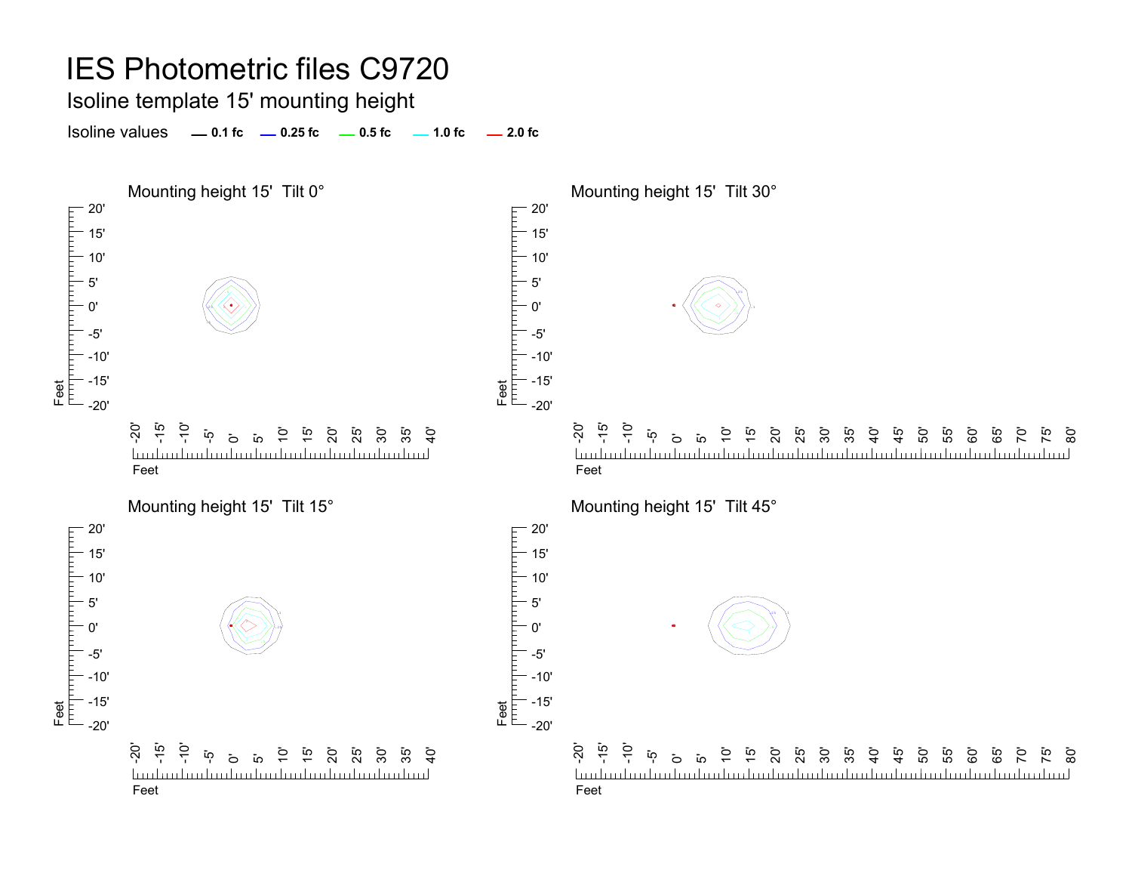Isoline template 15' mounting height

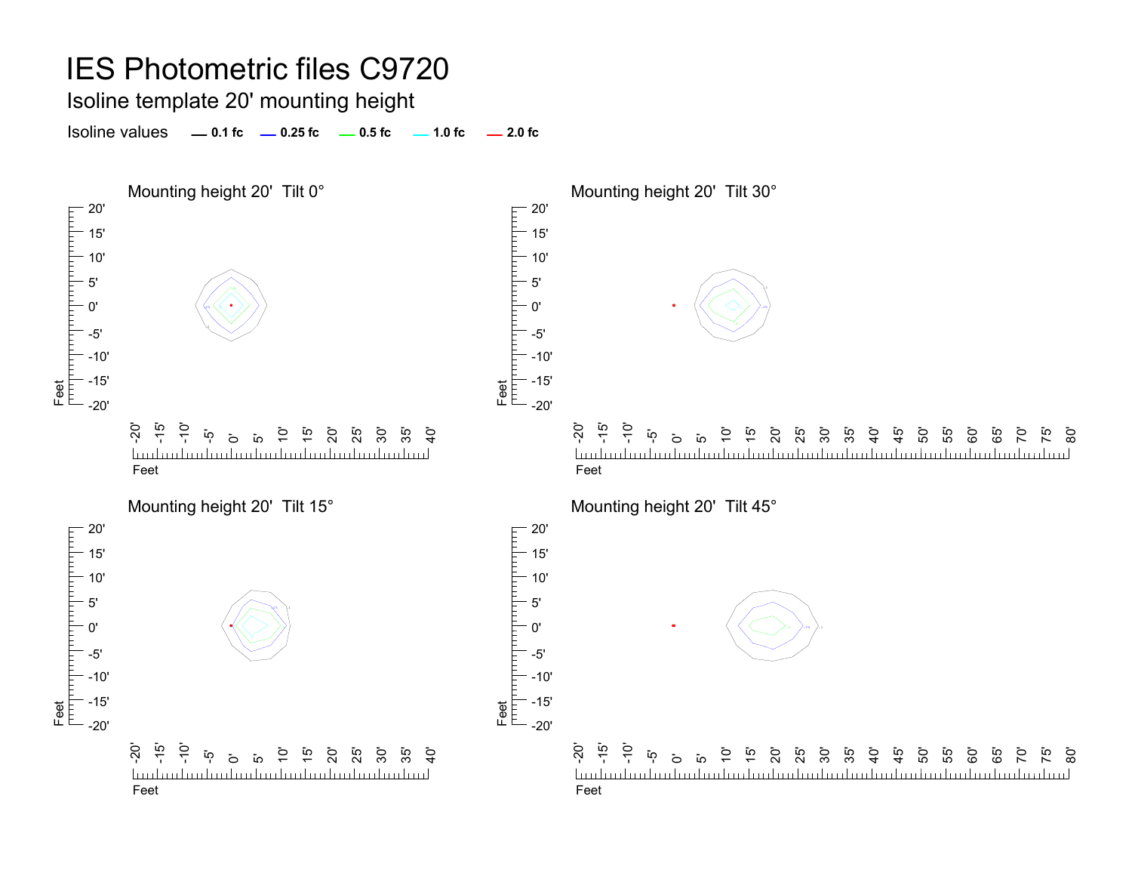Isoline template 20' mounting height

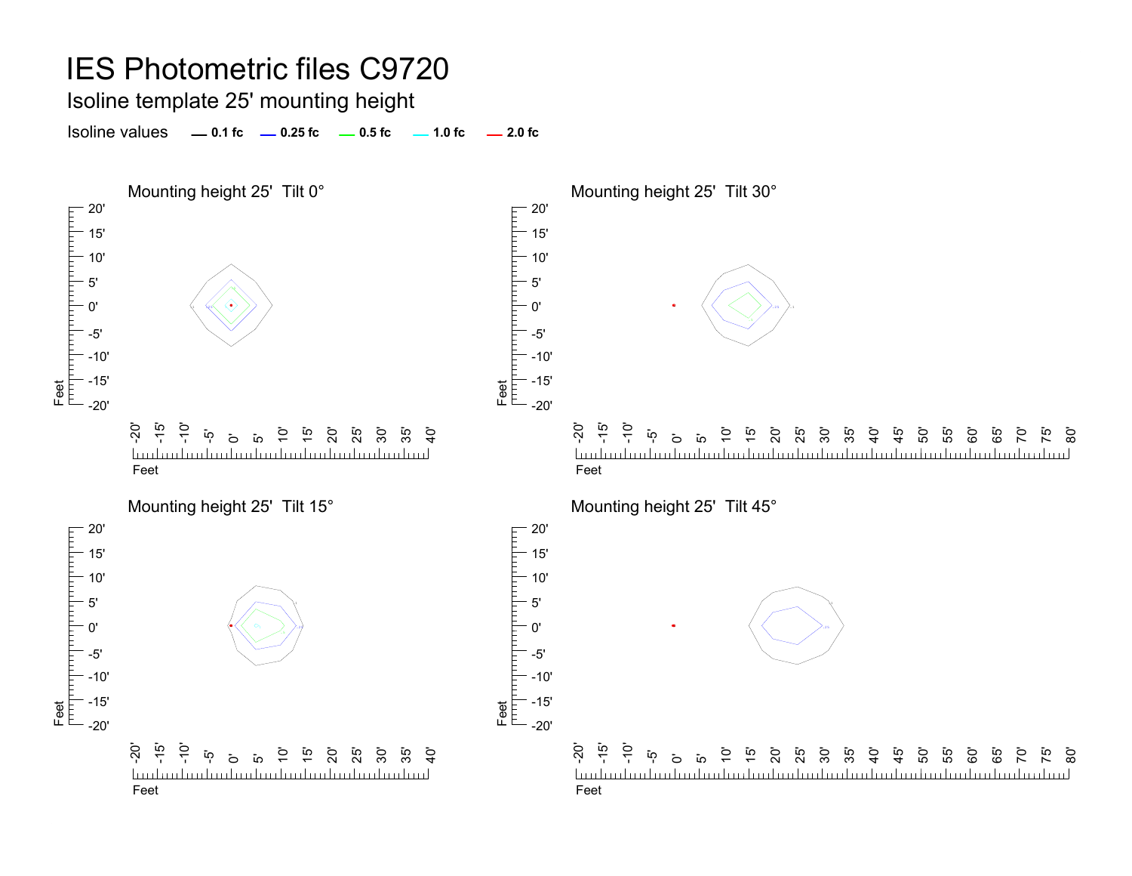Isoline template 25' mounting height

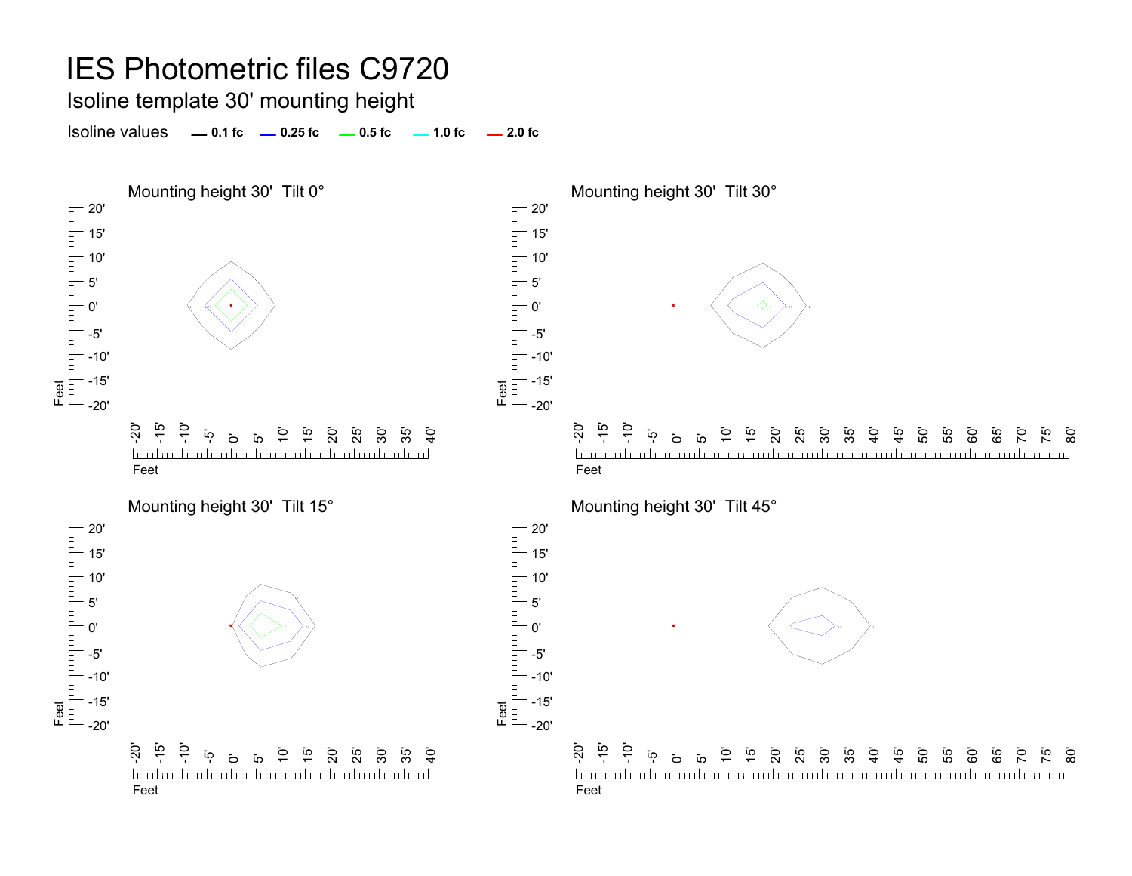Isoline template 30' mounting height